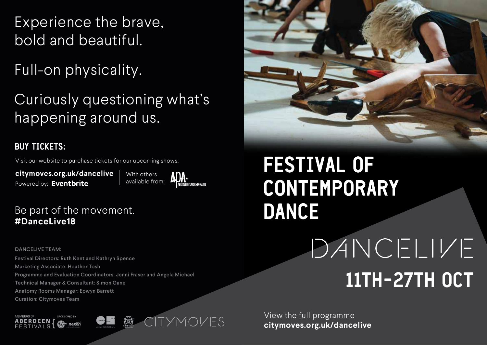Experience the brave, bold and beautiful.

Full-on physicality.

Curiously questioning what's happening around us.

## **BUY TICKETS:**

Visit our website to purchase tickets for our upcoming shows:

**citymoves.org.uk/dancelive** Powered by: Eventbrite

With others available from:



Be part of the movement. **#DanceLive18**

DANCELIVE TEAM:

Festival Directors: Ruth Kent and Kathryn Spence Marketing Associate: Heather Tosh Programme and Evaluation Coordinators: Jenni Fraser and Angela Michael Technical Manager & Consultant: Simon Gane Anatomy Rooms Manager: Eowyn Barrett Curation: Citymoves Team







## **FESTIVAL OF** CONTEMPORARY **DANCE**

## DANCELIVE 11TH-27TH OCT

View the full programme **citymoves.org.uk/dancelive**